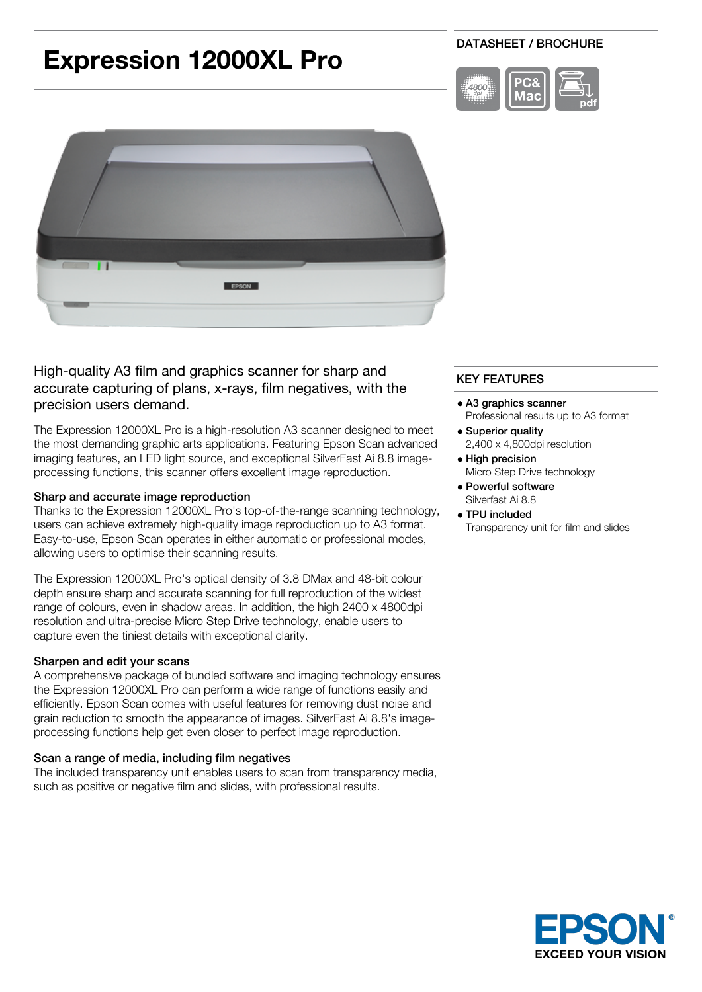# **Expression 12000XL Pro**

# DATASHEET / BROCHURE





High-quality A3 film and graphics scanner for sharp and accurate capturing of plans, x-rays, film negatives, with the precision users demand.

The Expression 12000XL Pro is a high-resolution A3 scanner designed to meet the most demanding graphic arts applications. Featuring Epson Scan advanced imaging features, an LED light source, and exceptional SilverFast Ai 8.8 imageprocessing functions, this scanner offers excellent image reproduction.

#### Sharp and accurate image reproduction

Thanks to the Expression 12000XL Pro's top-of-the-range scanning technology, users can achieve extremely high-quality image reproduction up to A3 format. Easy-to-use, Epson Scan operates in either automatic or professional modes, allowing users to optimise their scanning results.

The Expression 12000XL Pro's optical density of 3.8 DMax and 48-bit colour depth ensure sharp and accurate scanning for full reproduction of the widest range of colours, even in shadow areas. In addition, the high 2400 x 4800dpi resolution and ultra-precise Micro Step Drive technology, enable users to capture even the tiniest details with exceptional clarity.

## Sharpen and edit your scans

A comprehensive package of bundled software and imaging technology ensures the Expression 12000XL Pro can perform a wide range of functions easily and efficiently. Epson Scan comes with useful features for removing dust noise and grain reduction to smooth the appearance of images. SilverFast Ai 8.8's imageprocessing functions help get even closer to perfect image reproduction.

#### Scan a range of media, including film negatives

The included transparency unit enables users to scan from transparency media, such as positive or negative film and slides, with professional results.

# KEY FEATURES

- A3 graphics scanner Professional results up to A3 format
- Superior quality 2,400 x 4,800dpi resolution
- High precision Micro Step Drive technology
- Powerful software Silverfast Ai 8.8
- TPU included
	- Transparency unit for film and slides

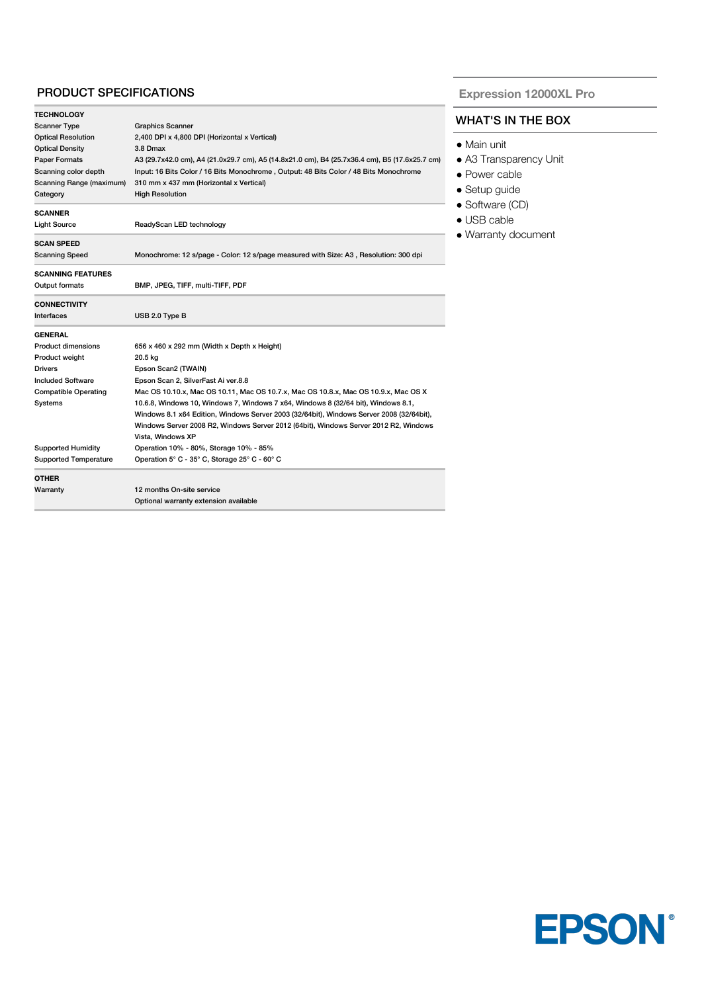## PRODUCT SPECIFICATIONS

| <b>TECHNOLOGY</b>            |                                                                                               |
|------------------------------|-----------------------------------------------------------------------------------------------|
| <b>Scanner Type</b>          | <b>Graphics Scanner</b>                                                                       |
| <b>Optical Resolution</b>    | 2,400 DPI x 4,800 DPI (Horizontal x Vertical)                                                 |
| <b>Optical Density</b>       | 3.8 Dmax                                                                                      |
| Paper Formats                | A3 (29.7x42.0 cm), A4 (21.0x29.7 cm), A5 (14.8x21.0 cm), B4 (25.7x36.4 cm), B5 (17.6x25.7 cm) |
| Scanning color depth         | Input: 16 Bits Color / 16 Bits Monochrome, Output: 48 Bits Color / 48 Bits Monochrome         |
| Scanning Range (maximum)     | 310 mm x 437 mm (Horizontal x Vertical)                                                       |
| Category                     | <b>High Resolution</b>                                                                        |
| <b>SCANNER</b>               |                                                                                               |
| <b>Light Source</b>          | ReadyScan LED technology                                                                      |
| <b>SCAN SPEED</b>            |                                                                                               |
| <b>Scanning Speed</b>        | Monochrome: 12 s/page - Color: 12 s/page measured with Size: A3, Resolution: 300 dpi          |
| <b>SCANNING FEATURES</b>     |                                                                                               |
| Output formats               | BMP, JPEG, TIFF, multi-TIFF, PDF                                                              |
| <b>CONNECTIVITY</b>          |                                                                                               |
| Interfaces                   | USB 2.0 Type B                                                                                |
| <b>GENERAL</b>               |                                                                                               |
| Product dimensions           | 656 x 460 x 292 mm (Width x Depth x Height)                                                   |
| Product weight               | 20.5 kg                                                                                       |
| <b>Drivers</b>               | Epson Scan2 (TWAIN)                                                                           |
| <b>Included Software</b>     | Epson Scan 2, SilverFast Ai ver.8.8                                                           |
| <b>Compatible Operating</b>  | Mac OS 10.10.x, Mac OS 10.11, Mac OS 10.7.x, Mac OS 10.8.x, Mac OS 10.9.x, Mac OS X           |
| Systems                      | 10.6.8, Windows 10, Windows 7, Windows 7 x64, Windows 8 (32/64 bit), Windows 8.1,             |
|                              | Windows 8.1 x64 Edition, Windows Server 2003 (32/64bit), Windows Server 2008 (32/64bit),      |
|                              | Windows Server 2008 R2, Windows Server 2012 (64bit), Windows Server 2012 R2, Windows          |
|                              | Vista, Windows XP                                                                             |
| <b>Supported Humidity</b>    | Operation 10% - 80%, Storage 10% - 85%                                                        |
| <b>Supported Temperature</b> | Operation 5° C - 35° C, Storage 25° C - 60° C                                                 |
| <b>OTHER</b>                 |                                                                                               |
| Warranty                     | 12 months On-site service                                                                     |
|                              | Optional warranty extension available                                                         |

**Expression 12000XL Pro**

# WHAT'S IN THE BOX

- Main unit
- A3 Transparency Unit
- Power cable
- Setup guide
- Software (CD)
- USB cable
- Warranty document